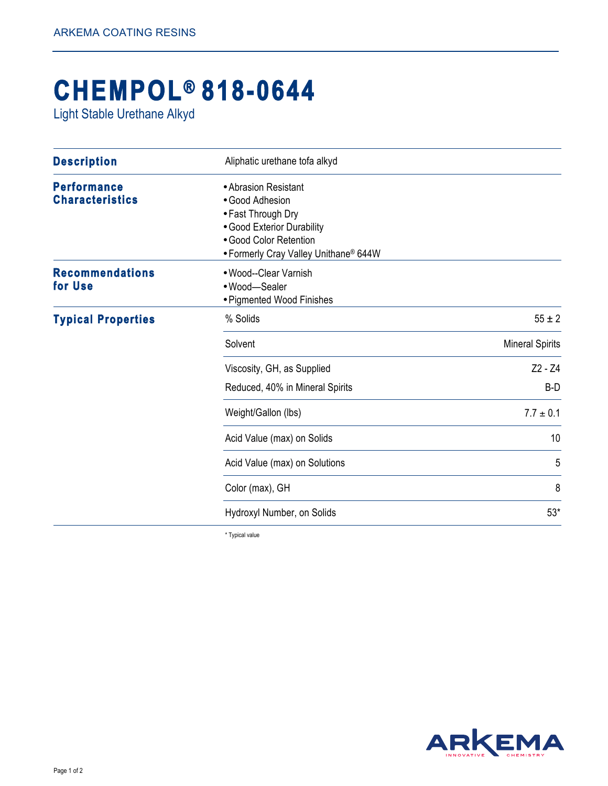## **CHEMPOL® 818-0644**

Light Stable Urethane Alkyd

| <b>Description</b>                           | Aliphatic urethane tofa alkyd                                                                                                                                  |                        |
|----------------------------------------------|----------------------------------------------------------------------------------------------------------------------------------------------------------------|------------------------|
| <b>Performance</b><br><b>Characteristics</b> | • Abrasion Resistant<br>• Good Adhesion<br>• Fast Through Dry<br>• Good Exterior Durability<br>• Good Color Retention<br>• Formerly Cray Valley Unithane® 644W |                        |
| <b>Recommendations</b><br>for Use            | • Wood--Clear Varnish<br>• Wood-Sealer<br>• Pigmented Wood Finishes                                                                                            |                        |
| <b>Typical Properties</b>                    | % Solids                                                                                                                                                       | $55 \pm 2$             |
|                                              | Solvent                                                                                                                                                        | <b>Mineral Spirits</b> |
|                                              | Viscosity, GH, as Supplied                                                                                                                                     | $Z2 - Z4$              |
|                                              | Reduced, 40% in Mineral Spirits                                                                                                                                | B-D                    |
|                                              | Weight/Gallon (lbs)                                                                                                                                            | $7.7 \pm 0.1$          |
|                                              | Acid Value (max) on Solids                                                                                                                                     | 10                     |
|                                              | Acid Value (max) on Solutions                                                                                                                                  | 5                      |
|                                              | Color (max), GH                                                                                                                                                | 8                      |
|                                              | Hydroxyl Number, on Solids                                                                                                                                     | $53*$                  |

\* Typical value